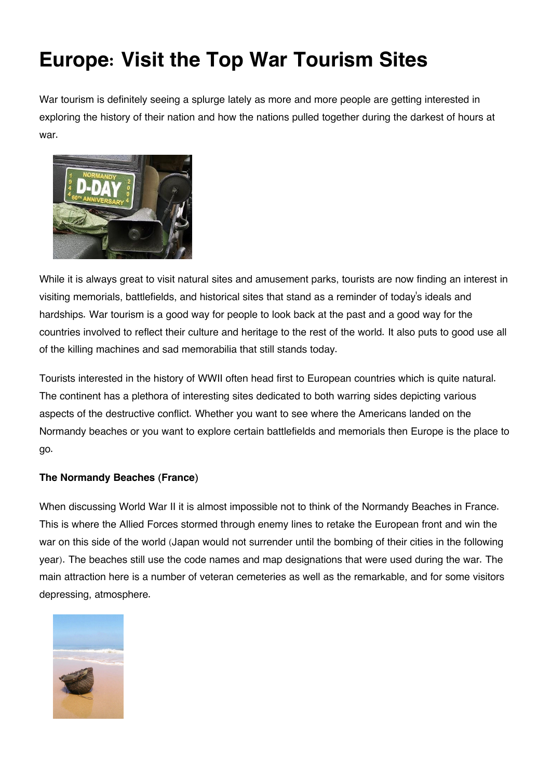# **Europe: Visit the Top War Tourism Sites**

War tourism is definitely seeing a splurge lately as more and more people are getting interested in exploring the history of their nation and how the nations pulled together during the darkest of hours at war.



While it is always great to visit natural sites and amusement parks, tourists are now finding an interest in visiting memorials, battlefields, and historical sites that stand as a reminder of today's ideals and hardships. War tourism is a good way for people to look back at the past and a good way for the countries involved to reflect their culture and heritage to the rest of the world. It also puts to good use all of the killing machines and sad memorabilia that still stands today.

Tourists interested in the history of WWII often head first to European countries which is quite natural. The continent has a plethora of interesting sites dedicated to both warring sides depicting various aspects of the destructive conflict. Whether you want to see where the Americans landed on the Normandy beaches or you want to explore certain battlefields and memorials then Europe is the place to go.

## **The Normandy Beaches (France)**

When discussing World War II it is almost impossible not to think of the Normandy Beaches in France. This is where the Allied Forces stormed through enemy lines to retake the European front and win the war on this side of the world (Japan would not surrender until the bombing of their cities in the following year). The beaches still use the code names and map designations that were used during the war. The main attraction here is a number of veteran cemeteries as well as the remarkable, and for some visitors depressing, atmosphere.

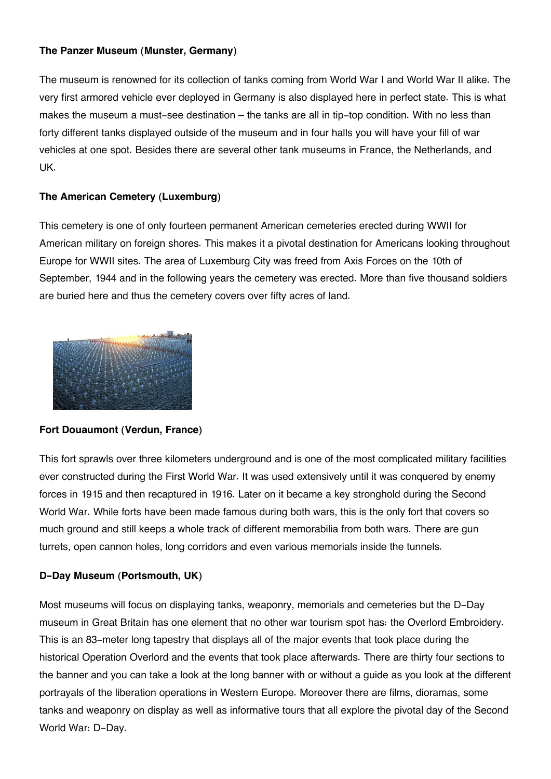### **The Panzer Museum (Munster, Germany)**

The museum is renowned for its collection of tanks coming from World War I and World War II alike. The very first armored vehicle ever deployed in Germany is also displayed here in perfect state. This is what makes the museum a must-see destination – the tanks are all in tip-top condition. With no less than forty different tanks displayed outside of the museum and in four halls you will have your fill of war vehicles at one spot. Besides there are several other tank museums in France, the Netherlands, and UK.

## **The American Cemetery (Luxemburg)**

This cemetery is one of only fourteen permanent American cemeteries erected during WWII for American military on foreign shores. This makes it a pivotal destination for Americans looking throughout Europe for WWII sites. The area of Luxemburg City was freed from Axis Forces on the 10th of September, 1944 and in the following years the cemetery was erected. More than five thousand soldiers are buried here and thus the cemetery covers over fifty acres of land.



## **Fort Douaumont (Verdun, France)**

This fort sprawls over three kilometers underground and is one of the most complicated military facilities ever constructed during the First World War. It was used extensively until it was conquered by enemy forces in 1915 and then recaptured in 1916. Later on it became a key stronghold during the Second World War. While forts have been made famous during both wars, this is the only fort that covers so much ground and still keeps a whole track of different memorabilia from both wars. There are gun turrets, open cannon holes, long corridors and even various memorials inside the tunnels.

## **D-Day Museum (Portsmouth, UK)**

Most museums will focus on displaying tanks, weaponry, memorials and cemeteries but the D-Day museum in Great Britain has one element that no other war tourism spot has: the Overlord Embroidery. This is an 83-meter long tapestry that displays all of the major events that took place during the historical Operation Overlord and the events that took place afterwards. There are thirty four sections to the banner and you can take a look at the long banner with or without a guide as you look at the different portrayals of the liberation operations in Western Europe. Moreover there are films, dioramas, some tanks and weaponry on display as well as informative tours that all explore the pivotal day of the Second World War: D-Day.